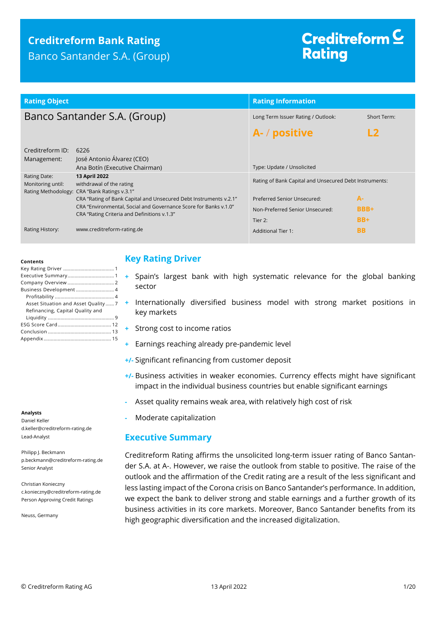# **Creditreform Bank Rating**

Banco Santander S.A. (Group)

# Creditreform<sup>C</sup> **Rating**

| <b>Rating Object</b>              |                                                                                                                 | <b>Rating Information</b>                              |               |
|-----------------------------------|-----------------------------------------------------------------------------------------------------------------|--------------------------------------------------------|---------------|
| Banco Santander S.A. (Group)      |                                                                                                                 | Long Term Issuer Rating / Outlook:                     | Short Term:   |
|                                   |                                                                                                                 | A- / positive                                          | $\mathsf{L2}$ |
| Creditreform ID:<br>Management:   | 6226<br>José Antonio Álvarez (CEO)<br>Ana Botín (Executive Chairman)                                            | Type: Update / Unsolicited                             |               |
| Rating Date:<br>Monitoring until: | 13 April 2022<br>withdrawal of the rating<br>Rating Methodology: CRA "Bank Ratings v.3.1"                       | Rating of Bank Capital and Unsecured Debt Instruments: |               |
|                                   | CRA "Rating of Bank Capital and Unsecured Debt Instruments v.2.1"                                               | Preferred Senior Unsecured:                            | $A -$         |
|                                   | CRA "Environmental, Social and Governance Score for Banks v.1.0"<br>CRA "Rating Criteria and Definitions v.1.3" | Non-Preferred Senior Unsecured:                        | BBB+          |
|                                   |                                                                                                                 | Tier 2:                                                | $BB+$         |
| Rating History:                   | www.creditreform-rating.de                                                                                      | <b>Additional Tier 1:</b>                              | <b>BB</b>     |

#### **Contents**

| Business Development  4             |
|-------------------------------------|
|                                     |
| Asset Situation and Asset Quality 7 |
| Refinancing, Capital Quality and    |
|                                     |
|                                     |
|                                     |
|                                     |

#### **Analysts**

Daniel Keller d.keller@creditreform-rating.de Lead-Analyst

Philipp J. Beckmann p.beckmann@creditreform-rating.de Senior Analyst

Christian Konieczny c.konieczny@creditreform-rating.de Person Approving Credit Ratings

Neuss, Germany

### <span id="page-0-0"></span>**Key Rating Driver**

- **+** Spain's largest bank with high systematic relevance for the global banking sector
- **+** Internationally diversified business model with strong market positions in key markets
- **+** Strong cost to income ratios
- **+** Earnings reaching already pre-pandemic level
- **+/-** Significant refinancing from customer deposit
- **+/-** Business activities in weaker economies. Currency effects might have significant impact in the individual business countries but enable significant earnings
- **-** Asset quality remains weak area, with relatively high cost of risk
- **-** Moderate capitalization

### <span id="page-0-1"></span>**Executive Summary**

Creditreform Rating affirms the unsolicited long-term issuer rating of Banco Santander S.A. at A-. However, we raise the outlook from stable to positive. The raise of the outlook and the affirmation of the Credit rating are a result of the less significant and less lasting impact of the Corona crisis on Banco Santander's performance. In addition, we expect the bank to deliver strong and stable earnings and a further growth of its business activities in its core markets. Moreover, Banco Santander benefits from its high geographic diversification and the increased digitalization.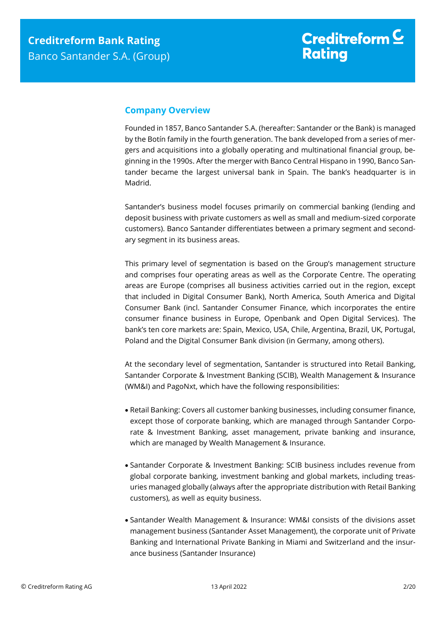### <span id="page-1-0"></span>**Company Overview**

Founded in 1857, Banco Santander S.A. (hereafter: Santander or the Bank) is managed by the Botín family in the fourth generation. The bank developed from a series of mergers and acquisitions into a globally operating and multinational financial group, beginning in the 1990s. After the merger with Banco Central Hispano in 1990, Banco Santander became the largest universal bank in Spain. The bank's headquarter is in Madrid.

Santander's business model focuses primarily on commercial banking (lending and deposit business with private customers as well as small and medium-sized corporate customers). Banco Santander differentiates between a primary segment and secondary segment in its business areas.

This primary level of segmentation is based on the Group's management structure and comprises four operating areas as well as the Corporate Centre. The operating areas are Europe (comprises all business activities carried out in the region, except that included in Digital Consumer Bank), North America, South America and Digital Consumer Bank (incl. Santander Consumer Finance, which incorporates the entire consumer finance business in Europe, Openbank and Open Digital Services). The bank's ten core markets are: Spain, Mexico, USA, Chile, Argentina, Brazil, UK, Portugal, Poland and the Digital Consumer Bank division (in Germany, among others).

At the secondary level of segmentation, Santander is structured into Retail Banking, Santander Corporate & Investment Banking (SCIB), Wealth Management & Insurance (WM&I) and PagoNxt, which have the following responsibilities:

- Retail Banking: Covers all customer banking businesses, including consumer finance, except those of corporate banking, which are managed through Santander Corporate & Investment Banking, asset management, private banking and insurance, which are managed by Wealth Management & Insurance.
- Santander Corporate & Investment Banking: SCIB business includes revenue from global corporate banking, investment banking and global markets, including treasuries managed globally (always after the appropriate distribution with Retail Banking customers), as well as equity business.
- Santander Wealth Management & Insurance: WM&I consists of the divisions asset management business (Santander Asset Management), the corporate unit of Private Banking and International Private Banking in Miami and Switzerland and the insurance business (Santander Insurance)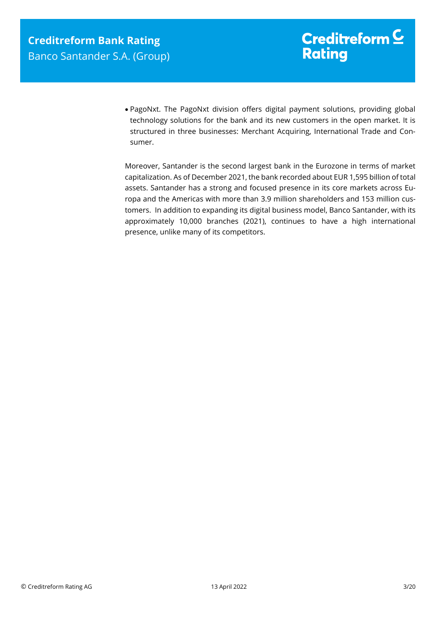PagoNxt. The PagoNxt division offers digital payment solutions, providing global technology solutions for the bank and its new customers in the open market. It is structured in three businesses: Merchant Acquiring, International Trade and Consumer.

Moreover, Santander is the second largest bank in the Eurozone in terms of market capitalization. As of December 2021, the bank recorded about EUR 1,595 billion of total assets. Santander has a strong and focused presence in its core markets across Europa and the Americas with more than 3.9 million shareholders and 153 million customers. In addition to expanding its digital business model, Banco Santander, with its approximately 10,000 branches (2021), continues to have a high international presence, unlike many of its competitors.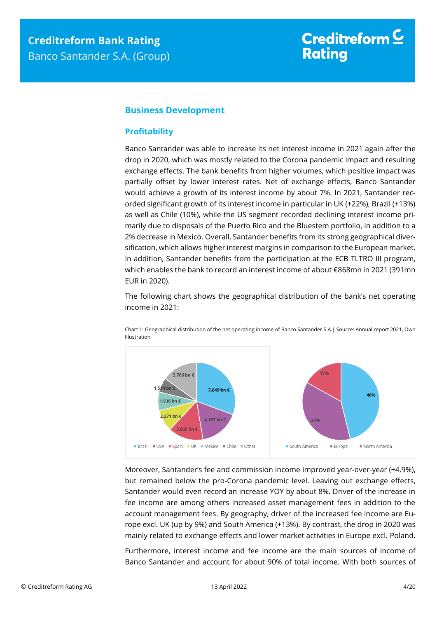# Creditreform  $\subseteq$ **Rating**

### <span id="page-3-0"></span>**Business Development**

#### <span id="page-3-1"></span>**Profitability**

Banco Santander was able to increase its net interest income in 2021 again after the drop in 2020, which was mostly related to the Corona pandemic impact and resulting exchange effects. The bank benefits from higher volumes, which positive impact was partially offset by lower interest rates. Net of exchange effects, Banco Santander would achieve a growth of its interest income by about 7%. In 2021, Santander recorded significant growth of its interest income in particular in UK (+22%), Brazil (+13%) as well as Chile (10%), while the US segment recorded declining interest income primarily due to disposals of the Puerto Rico and the Bluestem portfolio, in addition to a 2% decrease in Mexico. Overall, Santander benefits from its strong geographical diversification, which allows higher interest margins in comparison to the European market. In addition, Santander benefits from the participation at the ECB TLTRO III program, which enables the bank to record an interest income of about €868mn in 2021 (391mn EUR in 2020).

The following chart shows the geographical distribution of the bank's net operating income in 2021:



Chart 1: Geographical distribution of the net operating income of Banco Santander S.A.| Source: Annual report 2021, Own Illustration

Moreover, Santander's fee and commission income improved year-over-year (+4.9%), but remained below the pro-Corona pandemic level. Leaving out exchange effects, Santander would even record an increase YOY by about 8%. Driver of the increase in fee income are among others increased asset management fees in addition to the account management fees. By geography, driver of the increased fee income are Europe excl. UK (up by 9%) and South America (+13%). By contrast, the drop in 2020 was mainly related to exchange effects and lower market activities in Europe excl. Poland.

Furthermore, interest income and fee income are the main sources of income of Banco Santander and account for about 90% of total income. With both sources of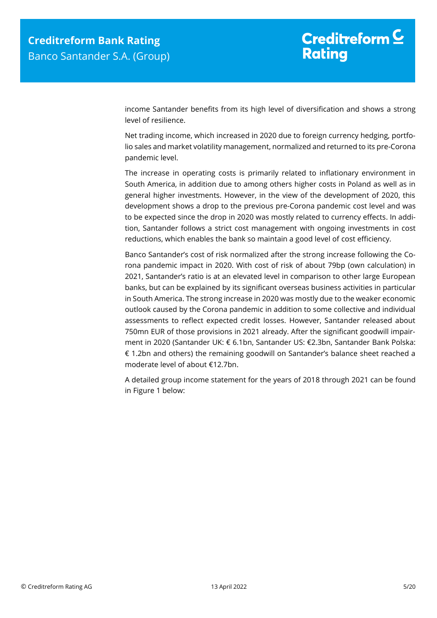income Santander benefits from its high level of diversification and shows a strong level of resilience.

Net trading income, which increased in 2020 due to foreign currency hedging, portfolio sales and market volatility management, normalized and returned to its pre-Corona pandemic level.

The increase in operating costs is primarily related to inflationary environment in South America, in addition due to among others higher costs in Poland as well as in general higher investments. However, in the view of the development of 2020, this development shows a drop to the previous pre-Corona pandemic cost level and was to be expected since the drop in 2020 was mostly related to currency effects. In addition, Santander follows a strict cost management with ongoing investments in cost reductions, which enables the bank so maintain a good level of cost efficiency.

Banco Santander's cost of risk normalized after the strong increase following the Corona pandemic impact in 2020. With cost of risk of about 79bp (own calculation) in 2021, Santander's ratio is at an elevated level in comparison to other large European banks, but can be explained by its significant overseas business activities in particular in South America. The strong increase in 2020 was mostly due to the weaker economic outlook caused by the Corona pandemic in addition to some collective and individual assessments to reflect expected credit losses. However, Santander released about 750mn EUR of those provisions in 2021 already. After the significant goodwill impairment in 2020 (Santander UK: € 6.1bn, Santander US: €2.3bn, Santander Bank Polska: € 1.2bn and others) the remaining goodwill on Santander's balance sheet reached a moderate level of about €12.7bn.

A detailed group income statement for the years of 2018 through 2021 can be found in Figure 1 below: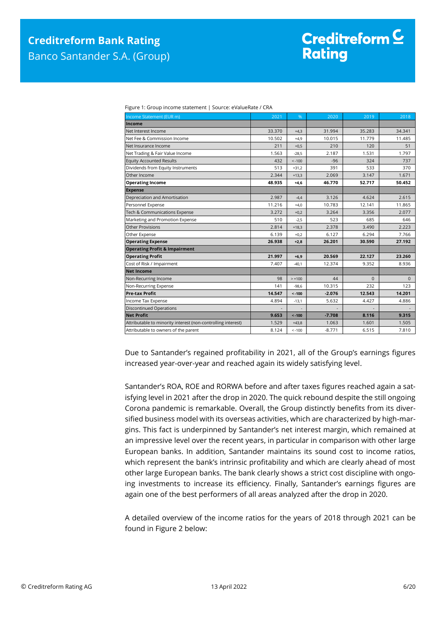| Income Statement (EUR m)                                     | 2021   | %        | 2020     | 2019     | 2018     |
|--------------------------------------------------------------|--------|----------|----------|----------|----------|
| Income                                                       |        |          |          |          |          |
| Net Interest Income                                          | 33.370 | $+4.3$   | 31.994   | 35.283   | 34.341   |
| Net Fee & Commission Income                                  | 10.502 | $+4.9$   | 10.015   | 11.779   | 11.485   |
| Net Insurance Income                                         | 211    | $+0,5$   | 210      | 120      | 51       |
| Net Trading & Fair Value Income                              | 1.563  | $-28,5$  | 2.187    | 1.531    | 1.797    |
| <b>Equity Accounted Results</b>                              | 432    | $< -100$ | $-96$    | 324      | 737      |
| Dividends from Equity Instruments                            | 513    | $+31.2$  | 391      | 533      | 370      |
| Other Income                                                 | 2.344  | $+13,3$  | 2.069    | 3.147    | 1.671    |
| <b>Operating Income</b>                                      | 48.935 | $+4,6$   | 46.770   | 52.717   | 50.452   |
| <b>Expense</b>                                               |        |          |          |          |          |
| Depreciation and Amortisation                                | 2.987  | $-4,4$   | 3.126    | 4.624    | 2.615    |
| Personnel Expense                                            | 11.216 | $+4,0$   | 10.783   | 12.141   | 11.865   |
| Tech & Communications Expense                                | 3.272  | $+0,2$   | 3.264    | 3.356    | 2.077    |
| Marketing and Promotion Expense                              | 510    | $-2,5$   | 523      | 685      | 646      |
| <b>Other Provisions</b>                                      | 2.814  | $+18,3$  | 2.378    | 3.490    | 2.223    |
| Other Expense                                                | 6.139  | $+0,2$   | 6.127    | 6.294    | 7.766    |
| <b>Operating Expense</b>                                     | 26.938 | $+2,8$   | 26.201   | 30.590   | 27.192   |
| <b>Operating Profit &amp; Impairment</b>                     |        |          |          |          |          |
| <b>Operating Profit</b>                                      | 21.997 | $+6.9$   | 20.569   | 22.127   | 23.260   |
| Cost of Risk / Impairment                                    | 7.407  | $-40,1$  | 12.374   | 9.352    | 8.936    |
| <b>Net Income</b>                                            |        |          |          |          |          |
| Non-Recurring Income                                         | 98     | $> +100$ | 44       | $\Omega$ | $\Omega$ |
| Non-Recurring Expense                                        | 141    | $-98.6$  | 10.315   | 232      | 123      |
| <b>Pre-tax Profit</b>                                        | 14.547 | $< -100$ | $-2.076$ | 12.543   | 14.201   |
| Income Tax Expense                                           | 4.894  | $-13,1$  | 5.632    | 4.427    | 4.886    |
| <b>Discontinued Operations</b>                               |        |          |          |          |          |
| <b>Net Profit</b>                                            | 9.653  | $< -100$ | $-7.708$ | 8.116    | 9.315    |
| Attributable to minority interest (non-controlling interest) | 1.529  | $+43,8$  | 1.063    | 1.601    | 1.505    |
| Attributable to owners of the parent                         | 8.124  | $< -100$ | $-8.771$ | 6.515    | 7.810    |

Figure 1: Group income statement | Source: eValueRate / CRA

Due to Santander's regained profitability in 2021, all of the Group's earnings figures increased year-over-year and reached again its widely satisfying level.

Santander's ROA, ROE and RORWA before and after taxes figures reached again a satisfying level in 2021 after the drop in 2020. The quick rebound despite the still ongoing Corona pandemic is remarkable. Overall, the Group distinctly benefits from its diversified business model with its overseas activities, which are characterized by high-margins. This fact is underpinned by Santander's net interest margin, which remained at an impressive level over the recent years, in particular in comparison with other large European banks. In addition, Santander maintains its sound cost to income ratios, which represent the bank's intrinsic profitability and which are clearly ahead of most other large European banks. The bank clearly shows a strict cost discipline with ongoing investments to increase its efficiency. Finally, Santander's earnings figures are again one of the best performers of all areas analyzed after the drop in 2020.

A detailed overview of the income ratios for the years of 2018 through 2021 can be found in Figure 2 below: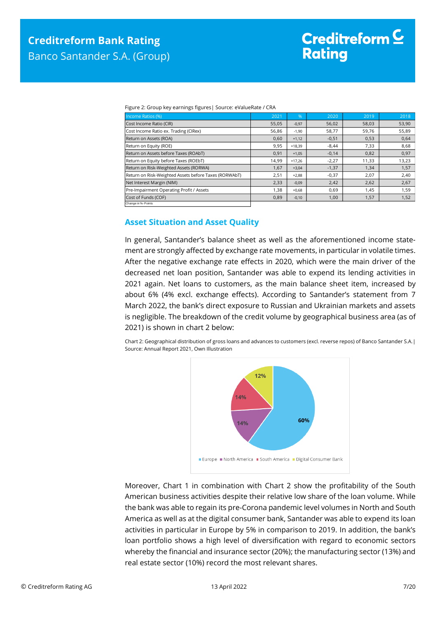|  | Figure 2: Group key earnings figures   Source: eValueRate / CRA |  |
|--|-----------------------------------------------------------------|--|

| Income Ratios (%)                                     | 2021  | %        | 2020    | 2019  | 2018  |
|-------------------------------------------------------|-------|----------|---------|-------|-------|
| Cost Income Ratio (CIR)                               | 55,05 | $-0,97$  | 56,02   | 58,03 | 53,90 |
| Cost Income Ratio ex. Trading (CIRex)                 | 56,86 | $-1,90$  | 58,77   | 59,76 | 55,89 |
| Return on Assets (ROA)                                | 0,60  | $+1,12$  | $-0,51$ | 0,53  | 0,64  |
| Return on Equity (ROE)                                | 9,95  | $+18,39$ | $-8,44$ | 7,33  | 8,68  |
| Return on Assets before Taxes (ROAbT)                 | 0,91  | $+1,05$  | $-0,14$ | 0,82  | 0,97  |
| Return on Equity before Taxes (ROEbT)                 | 14,99 | $+17.26$ | $-2,27$ | 11,33 | 13,23 |
| Return on Risk-Weighted Assets (RORWA)                | 1,67  | $+3,04$  | $-1,37$ | 1,34  | 1,57  |
| Return on Risk-Weighted Assets before Taxes (RORWAbT) | 2,51  | $+2,88$  | $-0,37$ | 2,07  | 2,40  |
| Net Interest Margin (NIM)                             | 2,33  | $-0,09$  | 2,42    | 2,62  | 2,67  |
| Pre-Impairment Operating Profit / Assets              | 1,38  | $+0,68$  | 0,69    | 1,45  | 1,59  |
| Cost of Funds (COF)                                   | 0,89  | $-0,10$  | 1,00    | 1,57  | 1,52  |
| Change in %- Points                                   |       |          |         |       |       |

#### <span id="page-6-0"></span>**Asset Situation and Asset Quality**

In general, Santander's balance sheet as well as the aforementioned income statement are strongly affected by exchange rate movements, in particular in volatile times. After the negative exchange rate effects in 2020, which were the main driver of the decreased net loan position, Santander was able to expend its lending activities in 2021 again. Net loans to customers, as the main balance sheet item, increased by about 6% (4% excl. exchange effects). According to Santander's statement from 7 March 2022, the bank's direct exposure to Russian and Ukrainian markets and assets is negligible. The breakdown of the credit volume by geographical business area (as of 2021) is shown in chart 2 below:

Chart 2: Geographical distribution of gross loans and advances to customers (excl. reverse repos) of Banco Santander S.A.| Source: Annual Report 2021, Own Illustration



Moreover, Chart 1 in combination with Chart 2 show the profitability of the South American business activities despite their relative low share of the loan volume. While the bank was able to regain its pre-Corona pandemic level volumes in North and South America as well as at the digital consumer bank, Santander was able to expend its loan activities in particular in Europe by 5% in comparison to 2019. In addition, the bank's loan portfolio shows a high level of diversification with regard to economic sectors whereby the financial and insurance sector (20%); the manufacturing sector (13%) and real estate sector (10%) record the most relevant shares.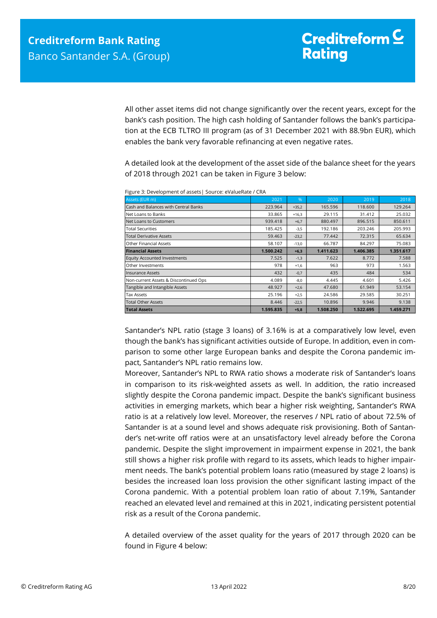All other asset items did not change significantly over the recent years, except for the bank's cash position. The high cash holding of Santander follows the bank's participation at the ECB TLTRO III program (as of 31 December 2021 with 88.9bn EUR), which enables the bank very favorable refinancing at even negative rates.

A detailed look at the development of the asset side of the balance sheet for the years of 2018 through 2021 can be taken in Figure 3 below:

| Assets (EUR m)                        | 2021      | %       | 2020      | 2019      | 2018      |
|---------------------------------------|-----------|---------|-----------|-----------|-----------|
| Cash and Balances with Central Banks  | 223.964   | $+35,2$ | 165.596   | 118,600   | 129.264   |
| Net Loans to Banks                    | 33.865    | $+16,3$ | 29.115    | 31.412    | 25.032    |
| Net Loans to Customers                | 939.418   | $+6,7$  | 880.497   | 896.515   | 850.611   |
| <b>Total Securities</b>               | 185.425   | $-3,5$  | 192.186   | 203.246   | 205.993   |
| <b>Total Derivative Assets</b>        | 59.463    | $-23,2$ | 77.442    | 72.315    | 65.634    |
| <b>Other Financial Assets</b>         | 58.107    | $-13,0$ | 66.787    | 84.297    | 75.083    |
| <b>Financial Assets</b>               | 1.500.242 | $+6,3$  | 1.411.623 | 1.406.385 | 1.351.617 |
| <b>Equity Accounted Investments</b>   | 7.525     | $-1,3$  | 7.622     | 8.772     | 7.588     |
| Other Investments                     | 978       | $+1,6$  | 963       | 973       |           |
|                                       |           |         |           |           | 1.563     |
| <b>Insurance Assets</b>               | 432       | $-0,7$  | 435       | 484       | 534       |
| Non-current Assets & Discontinued Ops | 4.089     | $-8,0$  | 4.445     | 4.601     | 5.426     |
| Tangible and Intangible Assets        | 48.927    | $+2,6$  | 47.680    | 61.949    | 53.154    |
| <b>Tax Assets</b>                     | 25.196    | $+2,5$  | 24.586    | 29.585    | 30.251    |
| <b>Total Other Assets</b>             | 8.446     | $-22,5$ | 10.896    | 9.946     | 9.138     |

Figure 3: Development of assets| Source: eValueRate / CRA

Santander's NPL ratio (stage 3 loans) of 3.16% is at a comparatively low level, even though the bank's has significant activities outside of Europe. In addition, even in comparison to some other large European banks and despite the Corona pandemic impact, Santander's NPL ratio remains low.

Moreover, Santander's NPL to RWA ratio shows a moderate risk of Santander's loans in comparison to its risk-weighted assets as well. In addition, the ratio increased slightly despite the Corona pandemic impact. Despite the bank's significant business activities in emerging markets, which bear a higher risk weighting, Santander's RWA ratio is at a relatively low level. Moreover, the reserves / NPL ratio of about 72.5% of Santander is at a sound level and shows adequate risk provisioning. Both of Santander's net-write off ratios were at an unsatisfactory level already before the Corona pandemic. Despite the slight improvement in impairment expense in 2021, the bank still shows a higher risk profile with regard to its assets, which leads to higher impairment needs. The bank's potential problem loans ratio (measured by stage 2 loans) is besides the increased loan loss provision the other significant lasting impact of the Corona pandemic. With a potential problem loan ratio of about 7.19%, Santander reached an elevated level and remained at this in 2021, indicating persistent potential risk as a result of the Corona pandemic.

A detailed overview of the asset quality for the years of 2017 through 2020 can be found in Figure 4 below: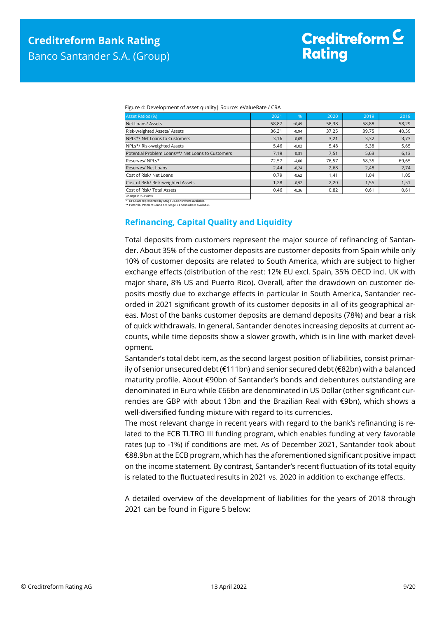| $\alpha$ is the $\alpha$ is the properties of asset quality $\beta$ bounded value in the $\beta$ CRA |       |         |       |       |       |
|------------------------------------------------------------------------------------------------------|-------|---------|-------|-------|-------|
| <b>Asset Ratios (%)</b>                                                                              | 2021  | %       | 2020  | 2019  | 2018  |
| Net Loans/ Assets                                                                                    | 58,87 | $+0.49$ | 58,38 | 58,88 | 58,29 |
| Risk-weighted Assets/ Assets                                                                         | 36,31 | $-0.94$ | 37,25 | 39,75 | 40,59 |
| NPLs*/ Net Loans to Customers                                                                        | 3,16  | $-0,05$ | 3,21  | 3,32  | 3,73  |
| NPLs*/ Risk-weighted Assets                                                                          | 5,46  | $-0,02$ | 5,48  | 5,38  | 5,65  |
| Potential Problem Loans**/ Net Loans to Customers                                                    | 7,19  | $-0.31$ | 7,51  | 5,63  | 6,13  |
| Reserves/NPLs*                                                                                       | 72,57 | $-4,00$ | 76,57 | 68,35 | 69,65 |
| Reserves/ Net Loans                                                                                  | 2,44  | $-0,24$ | 2,68  | 2,48  | 2,74  |
| Cost of Risk/ Net Loans                                                                              | 0.79  | $-0.62$ | 1,41  | 1.04  | 1,05  |
| Cost of Risk/ Risk-weighted Assets                                                                   | 1,28  | $-0.92$ | 2,20  | 1,55  | 1,51  |
| Cost of Risk/ Total Assets                                                                           | 0.46  | $-0.36$ | 0,82  | 0,61  | 0.61  |

Figure 4: Development of asset quality| Source: eValueRate / CRA

Change in %- Points

<span id="page-8-0"></span>\* NPLs are represented by Stage 3 Loans where available. \*\* Potential Problem Loans are Stage 2 Loans where available.

#### **Refinancing, Capital Quality and Liquidity**

Total deposits from customers represent the major source of refinancing of Santander. About 35% of the customer deposits are customer deposits from Spain while only 10% of customer deposits are related to South America, which are subject to higher exchange effects (distribution of the rest: 12% EU excl. Spain, 35% OECD incl. UK with major share, 8% US and Puerto Rico). Overall, after the drawdown on customer deposits mostly due to exchange effects in particular in South America, Santander recorded in 2021 significant growth of its customer deposits in all of its geographical areas. Most of the banks customer deposits are demand deposits (78%) and bear a risk of quick withdrawals. In general, Santander denotes increasing deposits at current accounts, while time deposits show a slower growth, which is in line with market development.

Santander's total debt item, as the second largest position of liabilities, consist primarily of senior unsecured debt (€111bn) and senior secured debt (€82bn) with a balanced maturity profile. About €90bn of Santander's bonds and debentures outstanding are denominated in Euro while €66bn are denominated in US Dollar (other significant currencies are GBP with about 13bn and the Brazilian Real with €9bn), which shows a well-diversified funding mixture with regard to its currencies.

The most relevant change in recent years with regard to the bank's refinancing is related to the ECB TLTRO III funding program, which enables funding at very favorable rates (up to -1%) if conditions are met. As of December 2021, Santander took about €88.9bn at the ECB program, which has the aforementioned significant positive impact on the income statement. By contrast, Santander's recent fluctuation of its total equity is related to the fluctuated results in 2021 vs. 2020 in addition to exchange effects.

A detailed overview of the development of liabilities for the years of 2018 through 2021 can be found in Figure 5 below: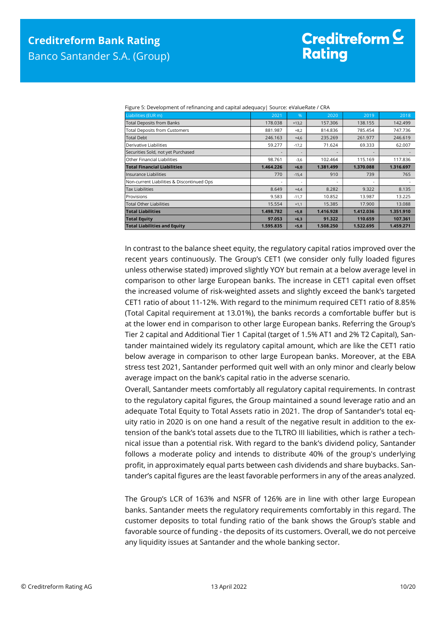| Liabilities (EUR m)                        | 2021                     | $\%$    | 2020      | 2019      | 2018      |
|--------------------------------------------|--------------------------|---------|-----------|-----------|-----------|
| <b>Total Deposits from Banks</b>           | 178.038                  | $+13,2$ | 157.306   | 138.155   | 142.499   |
| <b>Total Deposits from Customers</b>       | 881.987                  | $+8,2$  | 814.836   | 785.454   | 747.736   |
| <b>Total Debt</b>                          | 246.163                  | $+4.6$  | 235.269   | 261.977   | 246.619   |
| Derivative Liabilities                     | 59.277                   | $-17,2$ | 71.624    | 69.333    | 62.007    |
| Securities Sold, not yet Purchased         | $\overline{\phantom{a}}$ |         |           |           |           |
| Other Financial Liabilities                | 98.761                   | $-3,6$  | 102.464   | 115.169   | 117.836   |
| <b>Total Financial Liabilities</b>         | 1.464.226                | $+6,0$  | 1.381.499 | 1.370.088 | 1.316.697 |
| Insurance Liabilities                      | 770                      | $-15,4$ | 910       | 739       | 765       |
| Non-current Liabilities & Discontinued Ops | $\overline{\phantom{a}}$ | ٠       | ٠         |           |           |
| <b>Tax Liabilities</b>                     | 8.649                    | $+4.4$  | 8.282     | 9.322     | 8.135     |
| Provisions                                 | 9.583                    | $-11,7$ | 10.852    | 13.987    | 13.225    |
| <b>Total Other Liabilities</b>             | 15.554                   | $+1,1$  | 15.385    | 17,900    | 13.088    |
| <b>Total Liabilities</b>                   | 1.498.782                | $+5,8$  | 1.416.928 | 1.412.036 | 1.351.910 |
| <b>Total Equity</b>                        | 97.053                   | $+6,3$  | 91.322    | 110.659   | 107.361   |
| <b>Total Liabilities and Equity</b>        | 1.595.835                | $+5,8$  | 1.508.250 | 1.522.695 | 1.459.271 |

Figure 5: Development of refinancing and capital adequacy| Source: eValueRate / CRA

In contrast to the balance sheet equity, the regulatory capital ratios improved over the recent years continuously. The Group's CET1 (we consider only fully loaded figures unless otherwise stated) improved slightly YOY but remain at a below average level in comparison to other large European banks. The increase in CET1 capital even offset the increased volume of risk-weighted assets and slightly exceed the bank's targeted CET1 ratio of about 11-12%. With regard to the minimum required CET1 ratio of 8.85% (Total Capital requirement at 13.01%), the banks records a comfortable buffer but is at the lower end in comparison to other large European banks. Referring the Group's Tier 2 capital and Additional Tier 1 Capital (target of 1.5% AT1 and 2% T2 Capital), Santander maintained widely its regulatory capital amount, which are like the CET1 ratio below average in comparison to other large European banks. Moreover, at the EBA stress test 2021, Santander performed quit well with an only minor and clearly below average impact on the bank's capital ratio in the adverse scenario.

Overall, Santander meets comfortably all regulatory capital requirements. In contrast to the regulatory capital figures, the Group maintained a sound leverage ratio and an adequate Total Equity to Total Assets ratio in 2021. The drop of Santander's total equity ratio in 2020 is on one hand a result of the negative result in addition to the extension of the bank's total assets due to the TLTRO III liabilities, which is rather a technical issue than a potential risk. With regard to the bank's dividend policy, Santander follows a moderate policy and intends to distribute 40% of the group's underlying profit, in approximately equal parts between cash dividends and share buybacks. Santander's capital figures are the least favorable performers in any of the areas analyzed.

The Group's LCR of 163% and NSFR of 126% are in line with other large European banks. Santander meets the regulatory requirements comfortably in this regard. The customer deposits to total funding ratio of the bank shows the Group's stable and favorable source of funding - the deposits of its customers. Overall, we do not perceive any liquidity issues at Santander and the whole banking sector.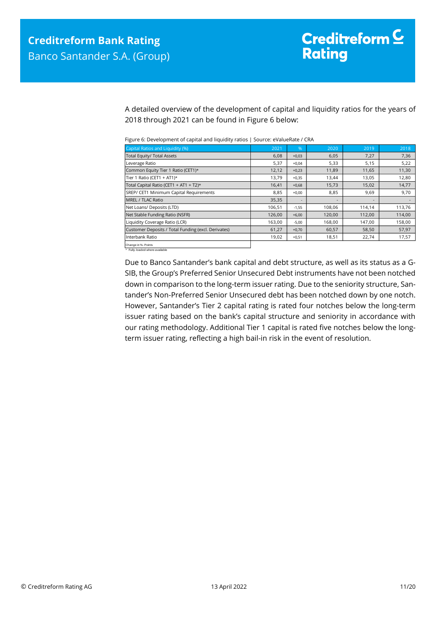A detailed overview of the development of capital and liquidity ratios for the years of 2018 through 2021 can be found in Figure 6 below:

|  | Figure 6: Development of capital and liquidity ratios   Source: eValueRate / CRA |  |
|--|----------------------------------------------------------------------------------|--|
|--|----------------------------------------------------------------------------------|--|

| Capital Ratios and Liquidity (%)                      | 2021   | %       | 2020   | 2019   | 2018   |
|-------------------------------------------------------|--------|---------|--------|--------|--------|
| Total Equity/ Total Assets                            | 6,08   | $+0,03$ | 6,05   | 7,27   | 7,36   |
| Leverage Ratio                                        | 5,37   | $+0,04$ | 5,33   | 5,15   | 5,22   |
| Common Equity Tier 1 Ratio (CET1)*                    | 12,12  | $+0,23$ | 11,89  | 11,65  | 11,30  |
| Tier 1 Ratio (CET1 + AT1)*                            | 13,79  | $+0,35$ | 13,44  | 13,05  | 12,80  |
| Total Capital Ratio (CET1 + AT1 + T2)*                | 16,41  | $+0,68$ | 15,73  | 15,02  | 14,77  |
| SREP/ CET1 Minimum Capital Requirements               | 8,85   | $+0,00$ | 8,85   | 9,69   | 9,70   |
| <b>MREL / TLAC Ratio</b>                              | 35,35  |         |        |        |        |
| Net Loans/ Deposits (LTD)                             | 106,51 | $-1,55$ | 108,06 | 114,14 | 113,76 |
| Net Stable Funding Ratio (NSFR)                       | 126,00 | $+6,00$ | 120,00 | 112,00 | 114,00 |
| Liquidity Coverage Ratio (LCR)                        | 163,00 | $-5,00$ | 168,00 | 147,00 | 158,00 |
| Customer Deposits / Total Funding (excl. Derivates)   | 61,27  | $+0,70$ | 60,57  | 58,50  | 57,97  |
| Interbank Ratio                                       | 19,02  | $+0,51$ | 18,51  | 22,74  | 17,57  |
| Change in %- Points<br>* Fully-loaded where available |        |         |        |        |        |

Due to Banco Santander's bank capital and debt structure, as well as its status as a G-SIB, the Group's Preferred Senior Unsecured Debt instruments have not been notched down in comparison to the long-term issuer rating. Due to the seniority structure, Santander's Non-Preferred Senior Unsecured debt has been notched down by one notch. However, Santander's Tier 2 capital rating is rated four notches below the long-term issuer rating based on the bank's capital structure and seniority in accordance with our rating methodology. Additional Tier 1 capital is rated five notches below the longterm issuer rating, reflecting a high bail-in risk in the event of resolution.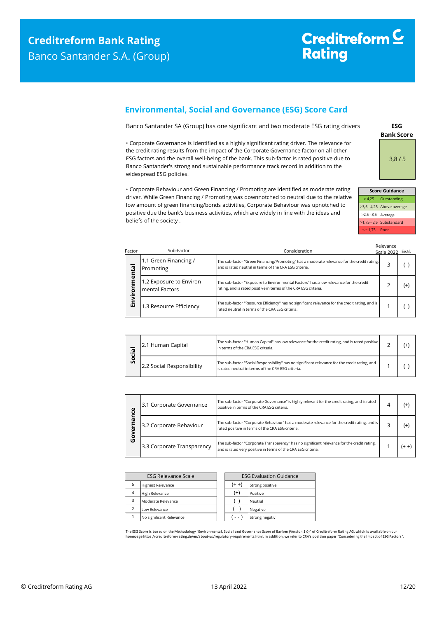# Creditreform<sup>C</sup> **Rating**

### <span id="page-11-0"></span>**Environmental, Social and Governance (ESG) Score Card**

Banco Santander SA (Group) has one significant and two moderate ESG rating drivers

• Corporate Governance is identified as a highly significant rating driver. The relevance for the credit rating results from the impact of the Corporate Governance factor on all other ESG factors and the overall well-being of the bank. This sub-factor is rated positive due to Banco Santander's strong and sustainable performance track record in addition to the widespread ESG policies.

• Corporate Behaviour and Green Financing / Promoting are identified as moderate rating driver. While Green Financing / Promoting was downnotched to neutral due to the relative low amount of green financing/bonds activities, Corporate Behaviour was upnotched to positive due the bank's business activities, which are widely in line with the ideas and beliefs of the society .

**Bank Score ESG**  3,8 / 5

| <b>Score Guidance</b> |                           |  |  |  |  |
|-----------------------|---------------------------|--|--|--|--|
|                       | > 4,25 Outstanding        |  |  |  |  |
|                       | >3,5 - 4,25 Above-average |  |  |  |  |
| >2,5 - 3,5 Average    |                           |  |  |  |  |
|                       | $>1,75 - 2,5$ Substandard |  |  |  |  |
| $\le$ = 1.75 Poor     |                           |  |  |  |  |

| Factor      | Sub-Factor                                        | Consideration                                                                                                                                            | Relevance<br>Scale 2022 | Eval. |
|-------------|---------------------------------------------------|----------------------------------------------------------------------------------------------------------------------------------------------------------|-------------------------|-------|
| ental       | 1.1 Green Financing /<br>Promoting                | The sub-factor "Green Financing/Promoting" has a moderate relevance for the credit rating,<br>and is rated neutral in terms of the CRA ESG criteria.     | 3                       |       |
| Ē<br>ā      | 1.2 Exposure to Environ-<br><b>mental Factors</b> | The sub-factor "Exposure to Environmental Factors" has a low relevance for the credit<br>rating, and is rated positive in terms of the CRA ESG criteria. |                         | (+)   |
| <u>Envi</u> | 1.3 Resource Efficiency                           | The sub-factor "Resource Efficiency" has no significant relevance for the credit rating, and is<br>rated neutral in terms of the CRA ESG criteria.       |                         |       |

| 으.<br>o<br>Ū | 2.1 Human Capital         | The sub-factor "Human Capital" has low relevance for the credit rating, and is rated positive<br>In terms of the CRA ESG criteria.                    |  |  |
|--------------|---------------------------|-------------------------------------------------------------------------------------------------------------------------------------------------------|--|--|
|              | 2.2 Social Responsibility | The sub-factor "Social Responsibility" has no significant relevance for the credit rating, and<br>lis rated neutral in terms of the CRA ESG criteria. |  |  |

| Φ<br>൹<br>O | 3.1 Corporate Governance                                                                                                                                                   | The sub-factor "Corporate Governance" is highly relevant for the credit rating, and is rated<br>positive in terms of the CRA ESG criteria.                  |  | (+      |
|-------------|----------------------------------------------------------------------------------------------------------------------------------------------------------------------------|-------------------------------------------------------------------------------------------------------------------------------------------------------------|--|---------|
|             | The sub-factor "Corporate Behaviour" has a moderate relevance for the credit rating, and is<br>3.2 Corporate Behaviour<br>rated positive in terms of the CRA ESG criteria. |                                                                                                                                                             |  | (+      |
|             | 3.3 Corporate Transparency                                                                                                                                                 | The sub-factor "Corporate Transparency" has no significant relevance for the credit rating,<br>and is rated very positive in terms of the CRA ESG criteria. |  | $(+ +)$ |

| <b>ESG Relevance Scale</b> |                          | <b>ESG Evaluation Guidance</b> |                 |
|----------------------------|--------------------------|--------------------------------|-----------------|
|                            | <b>Highest Relevance</b> | $(+ +)$                        | Strong positive |
| $\overline{4}$             | <b>High Relevance</b>    | $^{(+)}$                       | Positive        |
| з                          | Moderate Relevance       |                                | Neutral         |
|                            | Low Relevance            | $-$ )                          | Negative        |
|                            | No significant Relevance |                                | Strong negativ  |

The ESG Score is based on the Methodology "Environmental, Social and Governance Score of Banken (Version 1.0)" of Creditreform Rating AG, which is available on our<br>homepage https://creditreform-rating.de/en/about-us/regula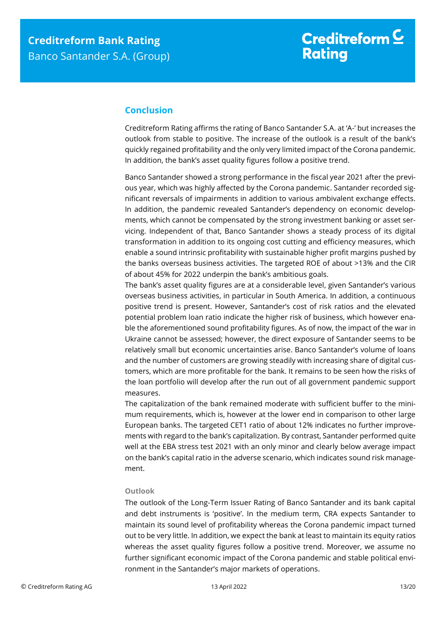### <span id="page-12-0"></span>**Conclusion**

Creditreform Rating affirms the rating of Banco Santander S.A. at 'A-' but increases the outlook from stable to positive. The increase of the outlook is a result of the bank's quickly regained profitability and the only very limited impact of the Corona pandemic. In addition, the bank's asset quality figures follow a positive trend.

Banco Santander showed a strong performance in the fiscal year 2021 after the previous year, which was highly affected by the Corona pandemic. Santander recorded significant reversals of impairments in addition to various ambivalent exchange effects. In addition, the pandemic revealed Santander's dependency on economic developments, which cannot be compensated by the strong investment banking or asset servicing. Independent of that, Banco Santander shows a steady process of its digital transformation in addition to its ongoing cost cutting and efficiency measures, which enable a sound intrinsic profitability with sustainable higher profit margins pushed by the banks overseas business activities. The targeted ROE of about >13% and the CIR of about 45% for 2022 underpin the bank's ambitious goals.

The bank's asset quality figures are at a considerable level, given Santander's various overseas business activities, in particular in South America. In addition, a continuous positive trend is present. However, Santander's cost of risk ratios and the elevated potential problem loan ratio indicate the higher risk of business, which however enable the aforementioned sound profitability figures. As of now, the impact of the war in Ukraine cannot be assessed; however, the direct exposure of Santander seems to be relatively small but economic uncertainties arise. Banco Santander's volume of loans and the number of customers are growing steadily with increasing share of digital customers, which are more profitable for the bank. It remains to be seen how the risks of the loan portfolio will develop after the run out of all government pandemic support measures.

The capitalization of the bank remained moderate with sufficient buffer to the minimum requirements, which is, however at the lower end in comparison to other large European banks. The targeted CET1 ratio of about 12% indicates no further improvements with regard to the bank's capitalization. By contrast, Santander performed quite well at the EBA stress test 2021 with an only minor and clearly below average impact on the bank's capital ratio in the adverse scenario, which indicates sound risk management.

#### **Outlook**

The outlook of the Long-Term Issuer Rating of Banco Santander and its bank capital and debt instruments is 'positive'. In the medium term, CRA expects Santander to maintain its sound level of profitability whereas the Corona pandemic impact turned out to be very little. In addition, we expect the bank at least to maintain its equity ratios whereas the asset quality figures follow a positive trend. Moreover, we assume no further significant economic impact of the Corona pandemic and stable political environment in the Santander's major markets of operations.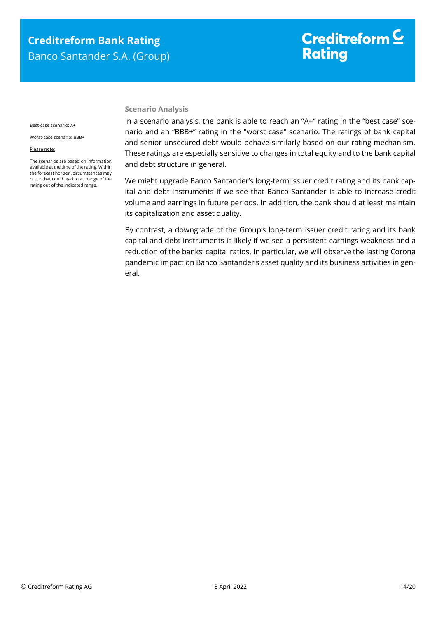# Creditreform  $C$ **Rating**

Best-case scenario: A+

Worst-case scenario: BBB+

#### Please note:

The scenarios are based on information available at the time of the rating. Within the forecast horizon, circumstances may occur that could lead to a change of the rating out of the indicated range.

#### **Scenario Analysis**

In a scenario analysis, the bank is able to reach an "A+" rating in the "best case" scenario and an "BBB+" rating in the "worst case" scenario. The ratings of bank capital and senior unsecured debt would behave similarly based on our rating mechanism. These ratings are especially sensitive to changes in total equity and to the bank capital and debt structure in general.

We might upgrade Banco Santander's long-term issuer credit rating and its bank capital and debt instruments if we see that Banco Santander is able to increase credit volume and earnings in future periods. In addition, the bank should at least maintain its capitalization and asset quality.

By contrast, a downgrade of the Group's long-term issuer credit rating and its bank capital and debt instruments is likely if we see a persistent earnings weakness and a reduction of the banks' capital ratios. In particular, we will observe the lasting Corona pandemic impact on Banco Santander's asset quality and its business activities in general.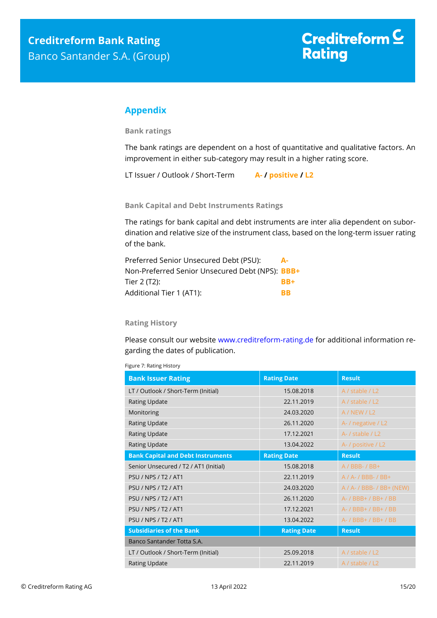## <span id="page-14-0"></span>**Appendix**

**Bank ratings**

The bank ratings are dependent on a host of quantitative and qualitative factors. An improvement in either sub-category may result in a higher rating score.

LT Issuer / Outlook / Short-Term **A- / positive / L2**

**Bank Capital and Debt Instruments Ratings**

The ratings for bank capital and debt instruments are inter alia dependent on subordination and relative size of the instrument class, based on the long-term issuer rating of the bank.

| Preferred Senior Unsecured Debt (PSU):          | А-        |
|-------------------------------------------------|-----------|
| Non-Preferred Senior Unsecured Debt (NPS): BBB+ |           |
| Tier 2 (T2):                                    | RR+       |
| Additional Tier 1 (AT1):                        | <b>RR</b> |

#### **Rating History**

Please consult our website [www.creditreform-rating.de](http://www.creditreform-rating.de/) for additional information regarding the dates of publication.

| Figure 7: Rating History |  |
|--------------------------|--|
|                          |  |

| <b>Bank Issuer Rating</b>                | <b>Rating Date</b> | <b>Result</b>                  |
|------------------------------------------|--------------------|--------------------------------|
| LT / Outlook / Short-Term (Initial)      | 15.08.2018         | A / stable / L2                |
| <b>Rating Update</b>                     | 22.11.2019         | A / stable / L2                |
| Monitoring                               | 24.03.2020         | A/NEW/L2                       |
| <b>Rating Update</b>                     | 26.11.2020         | A- / negative / L2             |
| <b>Rating Update</b>                     | 17.12.2021         | A- / stable / L2               |
| <b>Rating Update</b>                     | 13.04.2022         | A- / positive / L2             |
| <b>Bank Capital and Debt Instruments</b> | <b>Rating Date</b> | <b>Result</b>                  |
| Senior Unsecured / T2 / AT1 (Initial)    | 15.08.2018         | $A / BBB - / BB +$             |
| <b>PSU / NPS / T2 / AT1</b>              | 22.11.2019         | $A / A - / BBB - / BB +$       |
| <b>PSU / NPS / T2 / AT1</b>              | 24.03.2020         | $A / A - / BBB - / BB + (NEW)$ |
| <b>PSU / NPS / T2 / AT1</b>              | 26.11.2020         | A- / BBB+ / BB+ / BB           |
| <b>PSU / NPS / T2 / AT1</b>              | 17.12.2021         | A- / BBB+ / BB+ / BB           |
| <b>PSU / NPS / T2 / AT1</b>              | 13.04.2022         | A- / BBB+ / BB+ / BB           |
| <b>Subsidiaries of the Bank</b>          | <b>Rating Date</b> | <b>Result</b>                  |
| Banco Santander Totta S.A.               |                    |                                |
| LT / Outlook / Short-Term (Initial)      | 25.09.2018         | A / stable / L2                |
| <b>Rating Update</b>                     | 22.11.2019         | A / stable / L2                |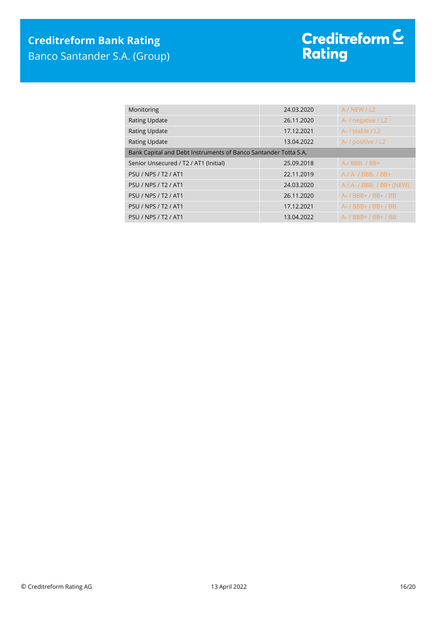| Monitoring                                                      | 24.03.2020 | A/NEW/L2                       |
|-----------------------------------------------------------------|------------|--------------------------------|
| <b>Rating Update</b>                                            | 26.11.2020 | A- / negative / L2             |
| <b>Rating Update</b>                                            | 17.12.2021 | A- / stable / L2               |
| <b>Rating Update</b>                                            | 13.04.2022 | A- / positive / L2             |
| Bank Capital and Debt Instruments of Banco Santander Totta S.A. |            |                                |
| Senior Unsecured / T2 / AT1 (Initial)                           | 25.09.2018 | $A / BBB - / BB +$             |
| <b>PSU / NPS / T2 / AT1</b>                                     | 22.11.2019 | $A / A - / BBB - / BB +$       |
| <b>PSU / NPS / T2 / AT1</b>                                     | 24.03.2020 | $A / A - / BBB - / BB + (NEW)$ |
| <b>PSU / NPS / T2 / AT1</b>                                     | 26.11.2020 | A- / BBB+ / BB+ / BB           |
| <b>PSU / NPS / T2 / AT1</b>                                     | 17.12.2021 | A- / BBB+ / BB+ / BB           |
| <b>PSU / NPS / T2 / AT1</b>                                     | 13.04.2022 | A- / BBB+ / BB+ / BB           |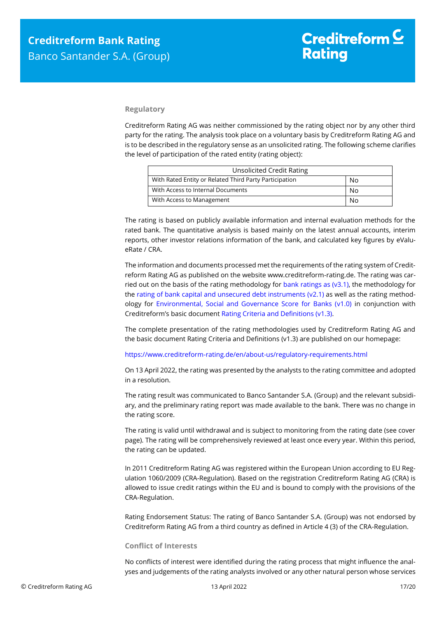#### **Regulatory**

Creditreform Rating AG was neither commissioned by the rating object nor by any other third party for the rating. The analysis took place on a voluntary basis by Creditreform Rating AG and is to be described in the regulatory sense as an unsolicited rating. The following scheme clarifies the level of participation of the rated entity (rating object):

| <b>Unsolicited Credit Rating</b>                       |    |
|--------------------------------------------------------|----|
| With Rated Entity or Related Third Party Participation | No |
| With Access to Internal Documents                      | No |
| With Access to Management<br>No                        |    |

The rating is based on publicly available information and internal evaluation methods for the rated bank. The quantitative analysis is based mainly on the latest annual accounts, interim reports, other investor relations information of the bank, and calculated key figures by eValueRate / CRA.

The information and documents processed met the requirements of the rating system of Creditreform Rating AG as published on the website www.creditreform-rating.de. The rating was carried out on the basis of the rating methodology for bank ratings as ( $v3.1$ ), the methodology for the [rating of bank capital and unsecured debt instruments \(v2.1\)](https://www.creditreform-rating.de/en/about-us/regulatory-requirements.html?file=files/content/downloads/Externes%20Rating/Regulatorische%20Anforderungen/EN/Ratingmethodiken%20EN/CRAG%20Rating%20Methodology%20Unsecured%20Debt%20Instruments%20v2.1%20EN.pdf) as well as the rating methodology for [Environmental, Social and Governance Score for Banks \(v1.0\)](https://www.creditreform-rating.de/en/about-us/regulatory-requirements.html?file=files/content/downloads/Externes%20Rating/Regulatorische%20Anforderungen/EN/Ratingmethodiken%20EN/Rating%20Methodology%20ESG%20v1.0.pdf) in conjunction with Creditreform's basic document [Rating Criteria and Definitions \(v1.3\).](https://www.creditreform-rating.de/en/about-us/regulatory-requirements.html?file=files/content/downloads/Externes%20Rating/Regulatorische%20Anforderungen/EN/Ratingmethodiken%20EN/CRAG%20Rating%20Criteria%20and%20Definitions.pdf)

The complete presentation of the rating methodologies used by Creditreform Rating AG and the basic document Rating Criteria and Definitions (v1.3) are published on our homepage:

<https://www.creditreform-rating.de/en/about-us/regulatory-requirements.html>

On 13 April 2022, the rating was presented by the analysts to the rating committee and adopted in a resolution.

The rating result was communicated to Banco Santander S.A. (Group) and the relevant subsidiary, and the preliminary rating report was made available to the bank. There was no change in the rating score.

The rating is valid until withdrawal and is subject to monitoring from the rating date (see cover page). The rating will be comprehensively reviewed at least once every year. Within this period, the rating can be updated.

In 2011 Creditreform Rating AG was registered within the European Union according to EU Regulation 1060/2009 (CRA-Regulation). Based on the registration Creditreform Rating AG (CRA) is allowed to issue credit ratings within the EU and is bound to comply with the provisions of the CRA-Regulation.

Rating Endorsement Status: The rating of Banco Santander S.A. (Group) was not endorsed by Creditreform Rating AG from a third country as defined in Article 4 (3) of the CRA-Regulation.

#### **Conflict of Interests**

No conflicts of interest were identified during the rating process that might influence the analyses and judgements of the rating analysts involved or any other natural person whose services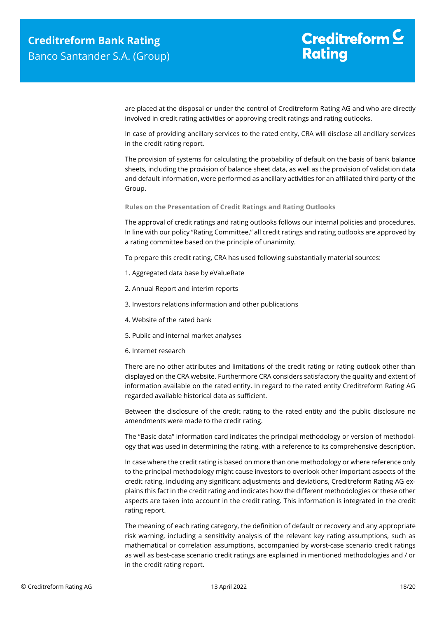# Creditreform  $\mathsf{\underline{\mathsf{C}}}$ **Rating**

are placed at the disposal or under the control of Creditreform Rating AG and who are directly involved in credit rating activities or approving credit ratings and rating outlooks.

In case of providing ancillary services to the rated entity, CRA will disclose all ancillary services in the credit rating report.

The provision of systems for calculating the probability of default on the basis of bank balance sheets, including the provision of balance sheet data, as well as the provision of validation data and default information, were performed as ancillary activities for an affiliated third party of the Group.

**Rules on the Presentation of Credit Ratings and Rating Outlooks**

The approval of credit ratings and rating outlooks follows our internal policies and procedures. In line with our policy "Rating Committee," all credit ratings and rating outlooks are approved by a rating committee based on the principle of unanimity.

To prepare this credit rating, CRA has used following substantially material sources:

- 1. Aggregated data base by eValueRate
- 2. Annual Report and interim reports
- 3. Investors relations information and other publications
- 4. Website of the rated bank
- 5. Public and internal market analyses
- 6. Internet research

There are no other attributes and limitations of the credit rating or rating outlook other than displayed on the CRA website. Furthermore CRA considers satisfactory the quality and extent of information available on the rated entity. In regard to the rated entity Creditreform Rating AG regarded available historical data as sufficient.

Between the disclosure of the credit rating to the rated entity and the public disclosure no amendments were made to the credit rating.

The "Basic data" information card indicates the principal methodology or version of methodology that was used in determining the rating, with a reference to its comprehensive description.

In case where the credit rating is based on more than one methodology or where reference only to the principal methodology might cause investors to overlook other important aspects of the credit rating, including any significant adjustments and deviations, Creditreform Rating AG explains this fact in the credit rating and indicates how the different methodologies or these other aspects are taken into account in the credit rating. This information is integrated in the credit rating report.

The meaning of each rating category, the definition of default or recovery and any appropriate risk warning, including a sensitivity analysis of the relevant key rating assumptions, such as mathematical or correlation assumptions, accompanied by worst-case scenario credit ratings as well as best-case scenario credit ratings are explained in mentioned methodologies and / or in the credit rating report.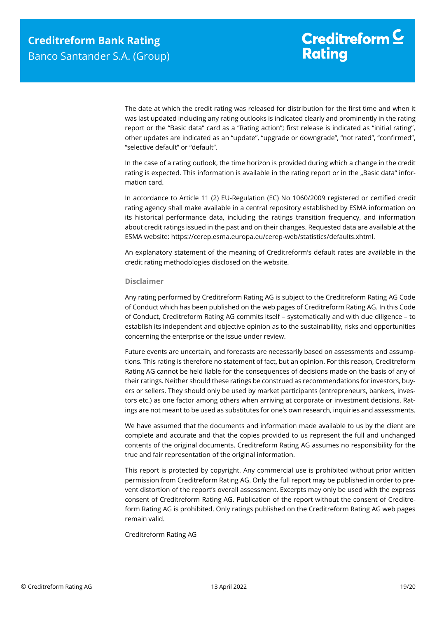The date at which the credit rating was released for distribution for the first time and when it was last updated including any rating outlooks is indicated clearly and prominently in the rating report or the "Basic data" card as a "Rating action"; first release is indicated as "initial rating", other updates are indicated as an "update", "upgrade or downgrade", "not rated", "confirmed", "selective default" or "default".

In the case of a rating outlook, the time horizon is provided during which a change in the credit rating is expected. This information is available in the rating report or in the "Basic data" information card.

In accordance to Article 11 (2) EU-Regulation (EC) No 1060/2009 registered or certified credit rating agency shall make available in a central repository established by ESMA information on its historical performance data, including the ratings transition frequency, and information about credit ratings issued in the past and on their changes. Requested data are available at the ESMA website: https://cerep.esma.europa.eu/cerep-web/statistics/defaults.xhtml.

An explanatory statement of the meaning of Creditreform's default rates are available in the credit rating methodologies disclosed on the website.

#### **Disclaimer**

Any rating performed by Creditreform Rating AG is subject to the Creditreform Rating AG Code of Conduct which has been published on the web pages of Creditreform Rating AG. In this Code of Conduct, Creditreform Rating AG commits itself – systematically and with due diligence – to establish its independent and objective opinion as to the sustainability, risks and opportunities concerning the enterprise or the issue under review.

Future events are uncertain, and forecasts are necessarily based on assessments and assumptions. This rating is therefore no statement of fact, but an opinion. For this reason, Creditreform Rating AG cannot be held liable for the consequences of decisions made on the basis of any of their ratings. Neither should these ratings be construed as recommendations for investors, buyers or sellers. They should only be used by market participants (entrepreneurs, bankers, investors etc.) as one factor among others when arriving at corporate or investment decisions. Ratings are not meant to be used as substitutes for one's own research, inquiries and assessments.

We have assumed that the documents and information made available to us by the client are complete and accurate and that the copies provided to us represent the full and unchanged contents of the original documents. Creditreform Rating AG assumes no responsibility for the true and fair representation of the original information.

This report is protected by copyright. Any commercial use is prohibited without prior written permission from Creditreform Rating AG. Only the full report may be published in order to prevent distortion of the report's overall assessment. Excerpts may only be used with the express consent of Creditreform Rating AG. Publication of the report without the consent of Creditreform Rating AG is prohibited. Only ratings published on the Creditreform Rating AG web pages remain valid.

Creditreform Rating AG